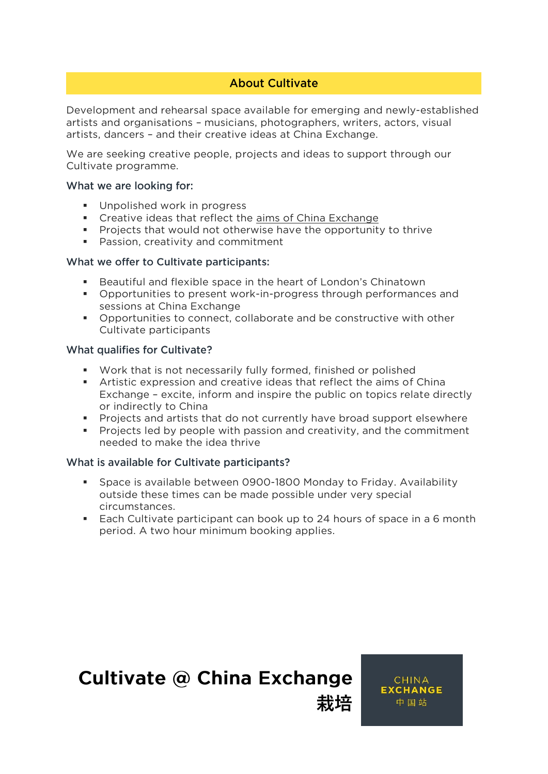# **About Cultivate**

**Development and rehearsal space available for emerging and newly-established artists and organisations – musicians, photographers, writers, actors, visual artists, dancers – and their creative ideas at China Exchange.** 

**We are seeking creative people, projects and ideas to support through our Cultivate programme.** 

#### What we are looking for:

- **Unpolished work in progress**
- **Creative ideas that reflect the [aims of China Exchange](http://chinaexchange.uk/about/)**
- **Projects that would not otherwise have the opportunity to thrive**
- **Passion, creativity and commitment**

### What we offer to Cultivate participants:

- **Beautiful and flexible space in the heart of London's Chinatown**
- **Opportunities to present work-in-progress through performances and**
- **set Opportunities to connect, collaborate and be constructive with other** Cultivate participants **Cultivate participants**

### What qualifies for Cultivate?

- **Work that is not necessarily fully formed, finished or polished**
- **Artistic expression and creative ideas that reflect the aims of China Exchange in the contribution in the public or indirectly to China**
- **Projects and artists that do not currently have broad support elsewhere**<br> **Projects led by people with passion and creativity, and the commitment**
- **Projects led by people with passion and creativity, and the commitment needed to make the idea thrive**

### What is available for Cultivate participants?

- **Space is available between 0900-1800 Monday to Friday. Availability**  circumstances.
- **Each Cultivate participant can book up to 24 hours of space in a 6 month neriod. A two hour minimum booking applies period. A two hour minimum booking applies.**

# **Cultivate @ China Exchange**

**CHINA EXCHANGE** 中国站

**栽培**